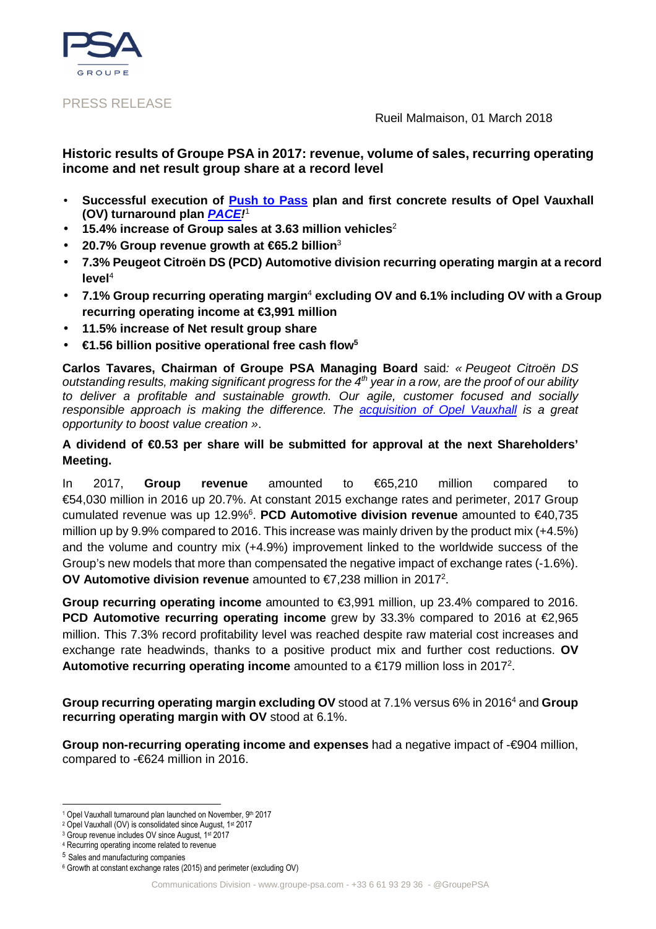

### PRESS RELEASE

Rueil Malmaison, 01 March 2018

## **Historic results of Groupe PSA in 2017: revenue, volume of sales, recurring operating income and net result group share at a record level**

- **Successful execution of Push to Pass plan and first concrete results of Opel Vauxhall (OV) turnaround plan PACE!** 1
- **15.4% increase of Group sales at 3.63 million vehicles**<sup>2</sup>
- **20.7% Group revenue growth at €65.2 billion**<sup>3</sup>
- **7.3% Peugeot Citroën DS (PCD) Automotive division recurring operating margin at a record level**<sup>4</sup>
- **7.1% Group recurring operating margin<sup>4</sup> excluding OV and 6.1% including OV with a Group recurring operating income at €3,991 million**
- **11.5% increase of Net result group share**
- **€1.56 billion positive operational free cash flow<sup>5</sup>**

**Carlos Tavares, Chairman of Groupe PSA Managing Board** said: « Peugeot Citroën DS outstanding results, making significant progress for the  $4<sup>th</sup>$  year in a row, are the proof of our ability to deliver a profitable and sustainable growth. Our agile, customer focused and socially responsible approach is making the difference. The **acquisition of Opel Vauxhall** is a great opportunity to boost value creation ».

## **A dividend of €0.53 per share will be submitted for approval at the next Shareholders' Meeting.**

In 2017, **Group revenue** amounted to €65,210 million compared to €54,030 million in 2016 up 20.7%. At constant 2015 exchange rates and perimeter, 2017 Group cumulated revenue was up 12.9%<sup>6</sup>. PCD Automotive division revenue amounted to €40,735 million up by 9.9% compared to 2016. This increase was mainly driven by the product mix (+4.5%) and the volume and country mix (+4.9%) improvement linked to the worldwide success of the Group's new models that more than compensated the negative impact of exchange rates (-1.6%). **OV Automotive division revenue** amounted to €7,238 million in 2017<sup>2</sup>.

**Group recurring operating income** amounted to €3,991 million, up 23.4% compared to 2016. **PCD Automotive recurring operating income** grew by 33.3% compared to 2016 at €2,965 million. This 7.3% record profitability level was reached despite raw material cost increases and exchange rate headwinds, thanks to a positive product mix and further cost reductions. **OV**  Automotive recurring operating income amounted to a €179 million loss in 2017<sup>2</sup>.

Group recurring operating margin excluding OV stood at 7.1% versus 6% in 2016<sup>4</sup> and Group **recurring operating margin with OV** stood at 6.1%.

**Group non-recurring operating income and expenses** had a negative impact of -€904 million, compared to -€624 million in 2016.

 $\overline{\phantom{a}}$ <sup>1</sup> Opel Vauxhall turnaround plan launched on November, 9th 2017

<sup>&</sup>lt;sup>2</sup> Opel Vauxhall (OV) is consolidated since August, 1<sup>st</sup> 2017

<sup>3</sup> Group revenue includes OV since August, 1st 2017

<sup>4</sup> Recurring operating income related to revenue

<sup>5</sup> Sales and manufacturing companies

<sup>6</sup> Growth at constant exchange rates (2015) and perimeter (excluding OV)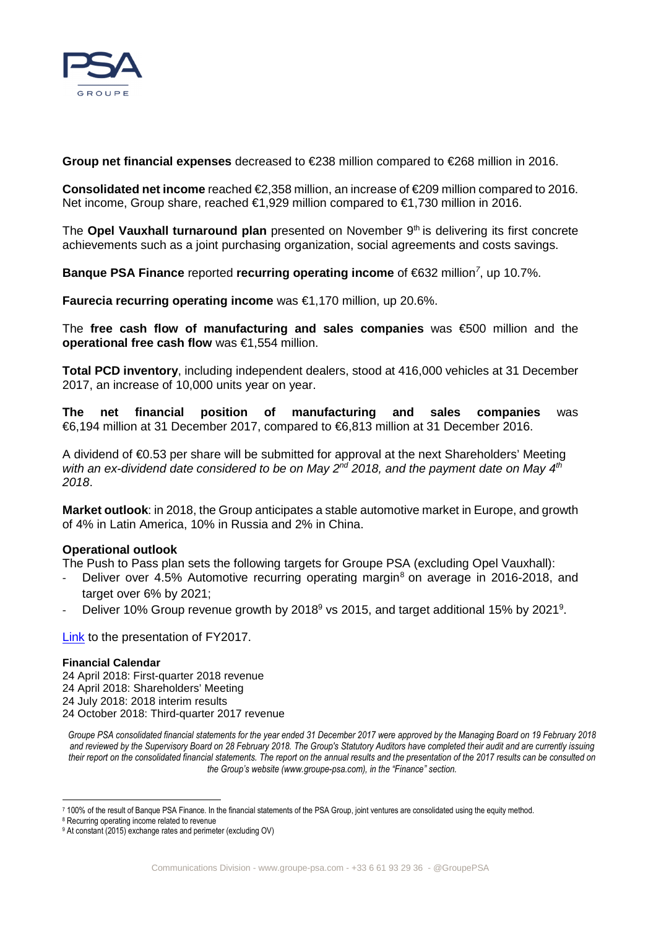

**Group net financial expenses** decreased to €238 million compared to €268 millionin 2016.

**Consolidated net income** reached €2,358 million, an increase of €209 million compared to 2016. Net income, Group share, reached €1,929 million compared to €1,730 million in 2016.

The **Opel Vauxhall turnaround plan** presented on November 9<sup>th</sup> is delivering its first concrete achievements such as a joint purchasing organization, social agreements and costs savings.

Banque PSA Finance reported recurring operating income of €632 million<sup>7</sup>, up 10.7%.

**Faurecia recurring operating income** was €1,170 million, up 20.6%.

The **free cash flow of manufacturing and sales companies** was €500 million and the **operational free cash flow** was €1,554 million.

**Total PCD inventory**, including independent dealers, stood at 416,000 vehicles at 31 December 2017, an increase of 10,000 units year on year.

**The net financial position of manufacturing and sales companies** was €6,194 million at 31 December 2017, compared to €6,813 million at 31 December 2016.

A dividend of €0.53 per share will be submitted for approval at the next Shareholders' Meeting with an ex-dividend date considered to be on May 2<sup>nd</sup> 2018, and the payment date on May 4<sup>th</sup> 2018.

**Market outlook**: in 2018, the Group anticipates a stable automotive market in Europe, and growth of 4% in Latin America, 10% in Russia and 2% in China.

### **Operational outlook**

The Push to Pass plan sets the following targets for Groupe PSA (excluding Opel Vauxhall):

- Deliver over 4.5% Automotive recurring operating margin<sup>8</sup> on average in 2016-2018, and target over 6% by 2021;
- Deliver 10% Group revenue growth by 2018<sup>9</sup> vs 2015, and target additional 15% by 2021<sup>9</sup>.

Link to the presentation of FY2017.

#### **Financial Calendar**

24 April 2018: First-quarter 2018 revenue 24 April 2018: Shareholders' Meeting 24 July 2018: 2018 interim results 24 October 2018: Third-quarter 2017 revenue

*Groupe PSA consolidated financial statements for the year ended 31 December 2017 were approved by the Managing Board on 19 February 2018 and reviewed by the Supervisory Board on 28 February 2018. The Group's Statutory Auditors have completed their audit and are currently issuing their report on the consolidated financial statements. The report on the annual results and the presentation of the 2017 results can be consulted on the Group's website (www.groupe-psa.com), in the "Finance" section.* 

 $\overline{\phantom{a}}$ 7 100% of the result of Banque PSA Finance. In the financial statements of the PSA Group, joint ventures are consolidated using the equity method.

<sup>8</sup> Recurring operating income related to revenue

<sup>9</sup> At constant (2015) exchange rates and perimeter (excluding OV)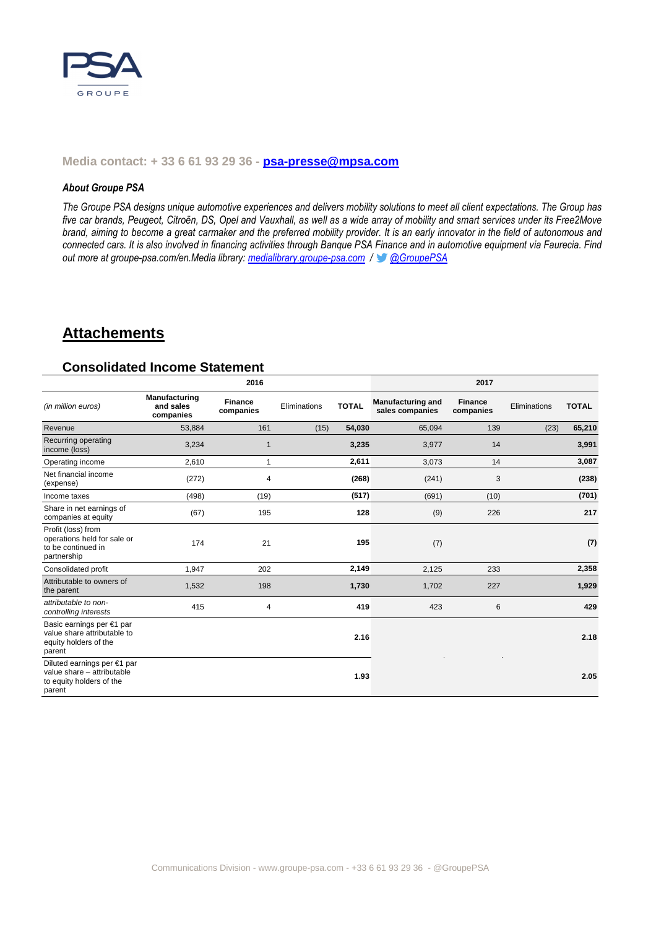

#### **Media contact: + 33 6 61 93 29 36 - psa-presse@mpsa.com**

#### *About Groupe PSA*

*The Groupe PSA designs unique automotive experiences and delivers mobility solutions to meet all client expectations. The Group has five car brands, Peugeot, Citroën, DS, Opel and Vauxhall, as well as a wide array of mobility and smart services under its Free2Move brand, aiming to become a great carmaker and the preferred mobility provider. It is an early innovator in the field of autonomous and connected cars. It is also involved in financing activities through Banque PSA Finance and in automotive equipment via Faurecia. Find out more at groupe-psa.com/en.Media library: medialibrary.groupe-psa.com / @GroupePSA*

## **Attachements**

#### **Consolidated Income Statement**

|                                                                                                 | 2016                                    |                             |              |              | 2017                                        |                             |              |              |
|-------------------------------------------------------------------------------------------------|-----------------------------------------|-----------------------------|--------------|--------------|---------------------------------------------|-----------------------------|--------------|--------------|
| (in million euros)                                                                              | Manufacturing<br>and sales<br>companies | <b>Finance</b><br>companies | Eliminations | <b>TOTAL</b> | <b>Manufacturing and</b><br>sales companies | <b>Finance</b><br>companies | Eliminations | <b>TOTAL</b> |
| Revenue                                                                                         | 53,884                                  | 161                         | (15)         | 54,030       | 65,094                                      | 139                         | (23)         | 65,210       |
| Recurring operating<br>income (loss)                                                            | 3,234                                   | $\overline{1}$              |              | 3,235        | 3,977                                       | 14                          |              | 3,991        |
| Operating income                                                                                | 2,610                                   | $\mathbf{1}$                |              | 2,611        | 3,073                                       | 14                          |              | 3,087        |
| Net financial income<br>(expense)                                                               | (272)                                   | 4                           |              | (268)        | (241)                                       | 3                           |              | (238)        |
| Income taxes                                                                                    | (498)                                   | (19)                        |              | (517)        | (691)                                       | (10)                        |              | (701)        |
| Share in net earnings of<br>companies at equity                                                 | (67)                                    | 195                         |              | 128          | (9)                                         | 226                         |              | 217          |
| Profit (loss) from<br>operations held for sale or<br>to be continued in<br>partnership          | 174                                     | 21                          |              | 195          | (7)                                         |                             |              | (7)          |
| Consolidated profit                                                                             | 1,947                                   | 202                         |              | 2,149        | 2,125                                       | 233                         |              | 2,358        |
| Attributable to owners of<br>the parent                                                         | 1,532                                   | 198                         |              | 1,730        | 1,702                                       | 227                         |              | 1,929        |
| attributable to non-<br>controlling interests                                                   | 415                                     | 4                           |              | 419          | 423                                         | 6                           |              | 429          |
| Basic earnings per €1 par<br>value share attributable to<br>equity holders of the<br>parent     |                                         |                             |              | 2.16         |                                             |                             |              | 2.18         |
| Diluted earnings per €1 par<br>value share - attributable<br>to equity holders of the<br>parent |                                         |                             |              | 1.93         |                                             |                             |              | 2.05         |